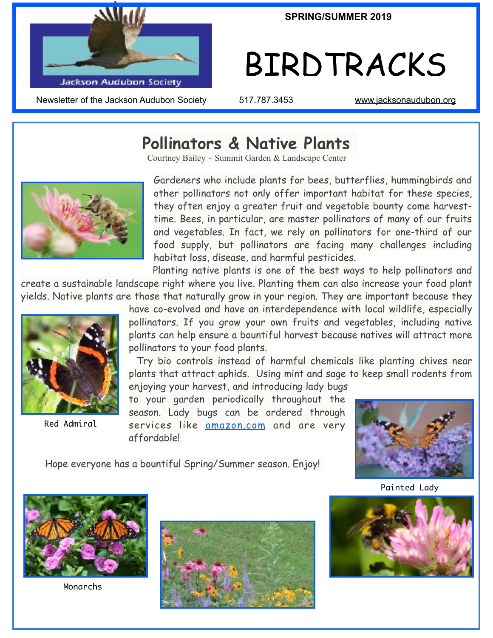

**SPRING/SUMMER 2019**

# BIRDTRACKS

Newsletter of the Jackson Audubon Society  $1517.787.3453$  [www.jacksonaudubon.org](http://www.jacksonaudubon.org)

## **Pollinators & Native Plants**

Courtney Bailey ~ Summit Garden & Landscape Center



Gardeners who include plants for bees, butterflies, hummingbirds and other pollinators not only offer important habitat for these species, they often enjoy a greater fruit and vegetable bounty come harvesttime. Bees, in particular, are master pollinators of many of our fruits and vegetables. In fact, we rely on pollinators for one-third of our food supply, but pollinators are facing many challenges including habitat loss, disease, and harmful pesticides.

Planting native plants is one of the best ways to help pollinators and create a sustainable landscape right where you live. Planting them can also increase your food plant yields. Native plants are those that naturally grow in your region. They are important because they



Red Admiral

have co-evolved and have an interdependence with local wildlife, especially pollinators. If you grow your own fruits and vegetables, including native plants can help ensure a bountiful harvest because natives will attract more pollinators to your food plants.

Try bio controls instead of harmful chemicals like planting chives near plants that attract aphids. Using mint and sage to keep small rodents from enjoying your harvest, and introducing lady bugs

to your garden periodically throughout the season. Lady bugs can be ordered through services like **[amazon.com](http://amazon.com/)** and are very affordable!



Hope everyone has a bountiful Spring/Summer season. Enjoy!

Painted Lady



Monarchs



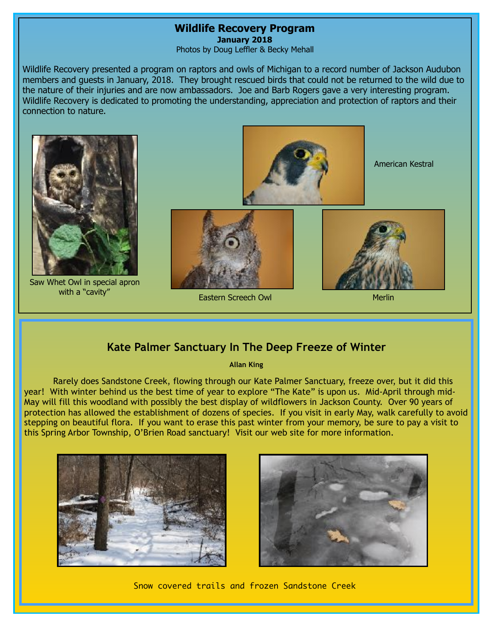#### **Wildlife Recovery Program**

**January 2018** 

Photos by Doug Leffler & Becky Mehall

Wildlife Recovery presented a program on raptors and owls of Michigan to a record number of Jackson Audubon members and guests in January, 2018. They brought rescued birds that could not be returned to the wild due to the nature of their injuries and are now ambassadors. Joe and Barb Rogers gave a very interesting program. Wildlife Recovery is dedicated to promoting the understanding, appreciation and protection of raptors and their connection to nature.



Eastern Screech Owl Merlin

#### **Kate Palmer Sanctuary In The Deep Freeze of Winter**

**Allan King** 

Rarely does Sandstone Creek, flowing through our Kate Palmer Sanctuary, freeze over, but it did this year! With winter behind us the best time of year to explore "The Kate" is upon us. Mid-April through mid-May will fill this woodland with possibly the best display of wildflowers in Jackson County. Over 90 years of protection has allowed the establishment of dozens of species. If you visit in early May, walk carefully to avoid stepping on beautiful flora. If you want to erase this past winter from your memory, be sure to pay a visit to this Spring Arbor Township, O'Brien Road sanctuary! Visit our web site for more information.





Snow covered trails and frozen Sandstone Creek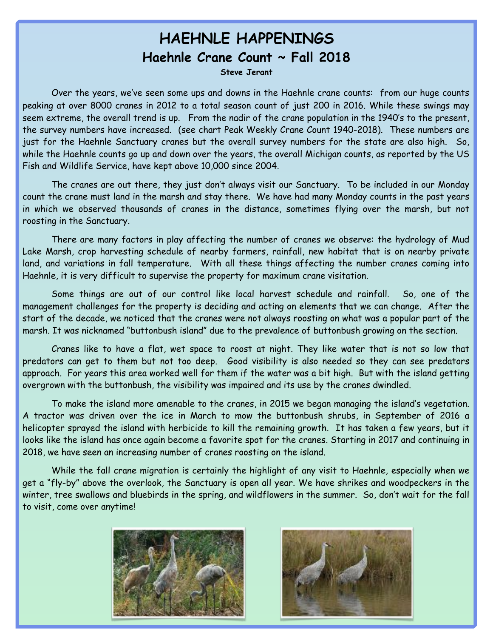## **HAEHNLE HAPPENINGS Haehnle Crane Count ~ Fall 2018**

**Steve Jerant**

Over the years, we've seen some ups and downs in the Haehnle crane counts: from our huge counts peaking at over 8000 cranes in 2012 to a total season count of just 200 in 2016. While these swings may seem extreme, the overall trend is up. From the nadir of the crane population in the 1940's to the present, the survey numbers have increased. (see chart Peak Weekly Crane Count 1940-2018). These numbers are just for the Haehnle Sanctuary cranes but the overall survey numbers for the state are also high. So, while the Haehnle counts go up and down over the years, the overall Michigan counts, as reported by the US Fish and Wildlife Service, have kept above 10,000 since 2004.

 The cranes are out there, they just don't always visit our Sanctuary. To be included in our Monday count the crane must land in the marsh and stay there. We have had many Monday counts in the past years in which we observed thousands of cranes in the distance, sometimes flying over the marsh, but not roosting in the Sanctuary.

 There are many factors in play affecting the number of cranes we observe: the hydrology of Mud Lake Marsh, crop harvesting schedule of nearby farmers, rainfall, new habitat that is on nearby private land, and variations in fall temperature. With all these things affecting the number cranes coming into Haehnle, it is very difficult to supervise the property for maximum crane visitation.

 Some things are out of our control like local harvest schedule and rainfall. So, one of the management challenges for the property is deciding and acting on elements that we can change. After the start of the decade, we noticed that the cranes were not always roosting on what was a popular part of the marsh. It was nicknamed "buttonbush island" due to the prevalence of buttonbush growing on the section.

 Cranes like to have a flat, wet space to roost at night. They like water that is not so low that predators can get to them but not too deep. Good visibility is also needed so they can see predators approach. For years this area worked well for them if the water was a bit high. But with the island getting overgrown with the buttonbush, the visibility was impaired and its use by the cranes dwindled.

 To make the island more amenable to the cranes, in 2015 we began managing the island's vegetation. A tractor was driven over the ice in March to mow the buttonbush shrubs, in September of 2016 a helicopter sprayed the island with herbicide to kill the remaining growth. It has taken a few years, but it looks like the island has once again become a favorite spot for the cranes. Starting in 2017 and continuing in 2018, we have seen an increasing number of cranes roosting on the island.

 While the fall crane migration is certainly the highlight of any visit to Haehnle, especially when we get a "fly-by" above the overlook, the Sanctuary is open all year. We have shrikes and woodpeckers in the winter, tree swallows and bluebirds in the spring, and wildflowers in the summer. So, don't wait for the fall to visit, come over anytime!



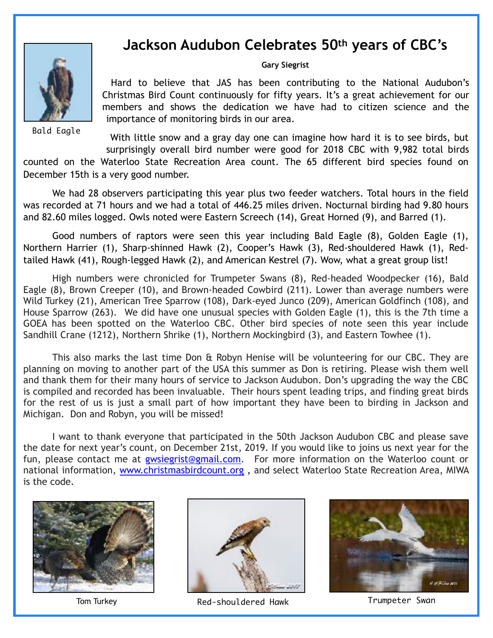#### Bald Eagle

## **Jackson Audubon Celebrates 50th years of CBC's**

**Gary Siegrist** 

Hard to believe that JAS has been contributing to the National Audubon's Christmas Bird Count continuously for fifty years. It's a great achievement for our members and shows the dedication we have had to citizen science and the importance of monitoring birds in our area.

 With little snow and a gray day one can imagine how hard it is to see birds, but surprisingly overall bird number were good for 2018 CBC with 9,982 total birds

counted on the Waterloo State Recreation Area count. The 65 different bird species found on December 15th is a very good number.

 We had 28 observers participating this year plus two feeder watchers. Total hours in the field was recorded at 71 hours and we had a total of 446.25 miles driven. Nocturnal birding had 9.80 hours and 82.60 miles logged. Owls noted were Eastern Screech (14), Great Horned (9), and Barred (1).

 Good numbers of raptors were seen this year including Bald Eagle (8), Golden Eagle (1), Northern Harrier (1), Sharp-shinned Hawk (2), Cooper's Hawk (3), Red-shouldered Hawk (1), Redtailed Hawk (41), Rough-legged Hawk (2), and American Kestrel (7). Wow, what a great group list!

High numbers were chronicled for Trumpeter Swans (8), Red-headed Woodpecker (16), Bald Eagle (8), Brown Creeper (10), and Brown-headed Cowbird (211). Lower than average numbers were Wild Turkey (21), American Tree Sparrow (108), Dark-eyed Junco (209), American Goldfinch (108), and House Sparrow (263). We did have one unusual species with Golden Eagle (1), this is the 7th time a GOEA has been spotted on the Waterloo CBC. Other bird species of note seen this year include Sandhill Crane (1212), Northern Shrike (1), Northern Mockingbird (3), and Eastern Towhee (1).

This also marks the last time Don & Robyn Henise will be volunteering for our CBC. They are planning on moving to another part of the USA this summer as Don is retiring. Please wish them well and thank them for their many hours of service to Jackson Audubon. Don's upgrading the way the CBC is compiled and recorded has been invaluable. Their hours spent leading trips, and finding great birds for the rest of us is just a small part of how important they have been to birding in Jackson and Michigan. Don and Robyn, you will be missed!

I want to thank everyone that participated in the 50th Jackson Audubon CBC and please save the date for next year's count, on December 21st, 2019. If you would like to joins us next year for the fun, please contact me at *gwsiegrist@gmail.com*. For more information on the Waterloo count or national information, [www.christmasbirdcount.org](http://www.christmasbirdcount.org) , and select Waterloo State Recreation Area, MIWA is the code.





Tom Turkey Red-shouldered Hawk Trumpeter Swan

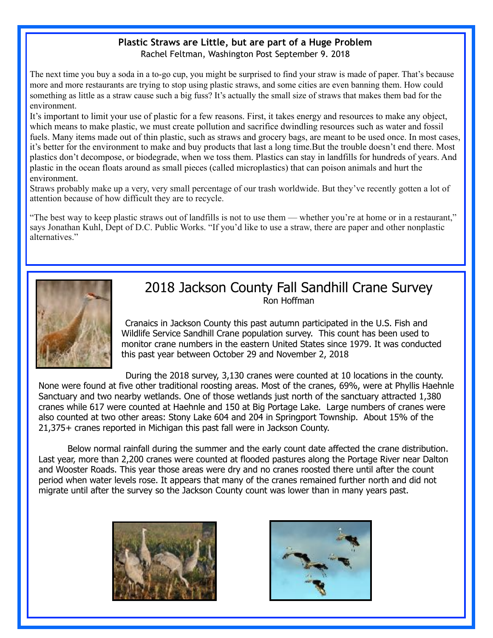#### **Plastic Straws are Little, but are part of a Huge Problem**  Rachel Feltman, Washington Post September 9. 2018

The next time you buy a soda in a to-go cup, you might be surprised to find your straw is made of paper. That's because more and more restaurants are trying to stop using plastic straws, and some cities are even banning them. How could something as little as a straw cause such a big fuss? It's actually the small size of straws that makes them bad for the environment.

It's important to limit your use of plastic for a few reasons. First, it takes energy and resources to make any object, which means to make plastic, we must create pollution and sacrifice dwindling resources such as water and fossil fuels. Many items made out of thin plastic, such as straws and grocery bags, are meant to be used once. In most cases, it's better for the environment to make and buy products that last a long time.But the trouble doesn't end there. Most plastics don't decompose, or biodegrade, when we toss them. Plastics can stay in landfills for hundreds of years. And plastic in the ocean floats around as small pieces (called microplastics) that can poison animals and hurt the environment.

Straws probably make up a very, very small percentage of our trash worldwide. But they've recently gotten a lot of attention because of how difficult they are to recycle.

"The best way to keep plastic straws out of landfills is not to use them — whether you're at home or in a restaurant," says Jonathan Kuhl, Dept of D.C. Public Works. "If you'd like to use a straw, there are paper and other nonplastic alternatives."



#### 2018 Jackson County Fall Sandhill Crane Survey Ron Hoffman

Cranaics in Jackson County this past autumn participated in the U.S. Fish and Wildlife Service Sandhill Crane population survey. This count has been used to monitor crane numbers in the eastern United States since 1979. It was conducted this past year between October 29 and November 2, 2018

 During the 2018 survey, 3,130 cranes were counted at 10 locations in the county. None were found at five other traditional roosting areas. Most of the cranes, 69%, were at Phyllis Haehnle Sanctuary and two nearby wetlands. One of those wetlands just north of the sanctuary attracted 1,380 cranes while 617 were counted at Haehnle and 150 at Big Portage Lake. Large numbers of cranes were also counted at two other areas: Stony Lake 604 and 204 in Springport Township. About 15% of the 21,375+ cranes reported in Michigan this past fall were in Jackson County.

 Below normal rainfall during the summer and the early count date affected the crane distribution. Last year, more than 2,200 cranes were counted at flooded pastures along the Portage River near Dalton and Wooster Roads. This year those areas were dry and no cranes roosted there until after the count period when water levels rose. It appears that many of the cranes remained further north and did not migrate until after the survey so the Jackson County count was lower than in many years past.



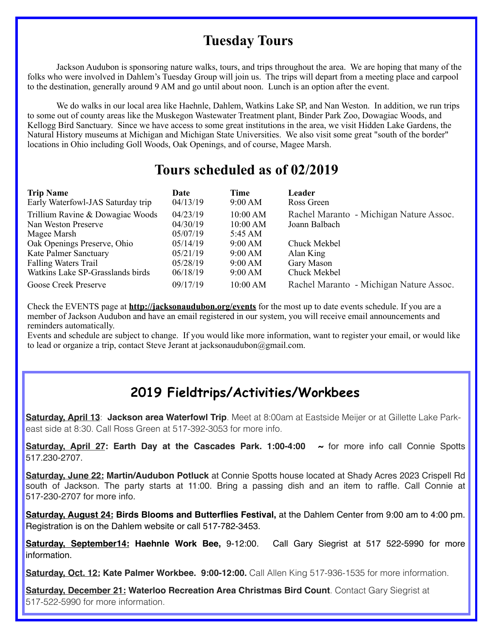## **Tuesday Tours**

 Jackson Audubon is sponsoring nature walks, tours, and trips throughout the area. We are hoping that many of the folks who were involved in Dahlem's Tuesday Group will join us. The trips will depart from a meeting place and carpool to the destination, generally around 9 AM and go until about noon. Lunch is an option after the event.

We do walks in our local area like Haehnle, Dahlem, Watkins Lake SP, and Nan Weston. In addition, we run trips to some out of county areas like the Muskegon Wastewater Treatment plant, Binder Park Zoo, Dowagiac Woods, and Kellogg Bird Sanctuary. Since we have access to some great institutions in the area, we visit Hidden Lake Gardens, the Natural History museums at Michigan and Michigan State Universities. We also visit some great "south of the border" locations in Ohio including Goll Woods, Oak Openings, and of course, Magee Marsh.

## **Tours scheduled as of 02/2019**

| <b>Trip Name</b>                  | Date     | Time     | Leader                                  |
|-----------------------------------|----------|----------|-----------------------------------------|
| Early Waterfowl-JAS Saturday trip | 04/13/19 | 9:00 AM  | Ross Green                              |
| Trillium Ravine & Dowagiac Woods  | 04/23/19 | 10:00 AM | Rachel Maranto - Michigan Nature Assoc. |
| Nan Weston Preserve               | 04/30/19 | 10:00 AM | Joann Balbach                           |
| Magee Marsh                       | 05/07/19 | 5:45 AM  |                                         |
| Oak Openings Preserve, Ohio       | 05/14/19 | 9:00 AM  | Chuck Mekbel                            |
| Kate Palmer Sanctuary             | 05/21/19 | 9:00 AM  | Alan King                               |
| <b>Falling Waters Trail</b>       | 05/28/19 | 9:00 AM  | Gary Mason                              |
| Watkins Lake SP-Grasslands birds  | 06/18/19 | 9:00 AM  | Chuck Mekbel                            |
| <b>Goose Creek Preserve</b>       | 09/17/19 | 10:00 AM | Rachel Maranto - Michigan Nature Assoc. |

Check the EVENTS page at **http://jacksonaudubon.org/events** for the most up to date events schedule. If you are a member of Jackson Audubon and have an email registered in our system, you will receive email announcements and reminders automatically.

Events and schedule are subject to change. If you would like more information, want to register your email, or would like to lead or organize a trip, contact Steve Jerant at jacksonaudubon@gmail.com.

## **2019 Fieldtrips/Activities/Workbees**

**Saturday, April 13**: **Jackson area Waterfowl Trip**. Meet at 8:00am at Eastside Meijer or at Gillette Lake Parkeast side at 8:30. Call Ross Green at 517-392-3053 for more info.

Saturday, April 27: Earth Day at the Cascades Park. 1:00-4:00 ~ for more info call Connie Spotts 517.230-2707.

**Saturday, June 22: Martin/Audubon Potluck** at Connie Spotts house located at Shady Acres 2023 Crispell Rd south of Jackson. The party starts at 11:00. Bring a passing dish and an item to raffle. Call Connie at 517-230-2707 for more info.

**Saturday, August 24: Birds Blooms and Butterflies Festival,** at the Dahlem Center from 9:00 am to 4:00 pm. Registration is on the Dahlem website or call 517-782-3453.

Saturday, September14: Haehnle Work Bee, 9-12:00. Call Gary Siegrist at 517 522-5990 for more information.

**Saturday, Oct. 12: Kate Palmer Workbee. 9:00-12:00.** Call Allen King 517-936-1535 for more information.

**Saturday, December 21: Waterloo Recreation Area Christmas Bird Count**. Contact Gary Siegrist at 517-522-5990 for more information.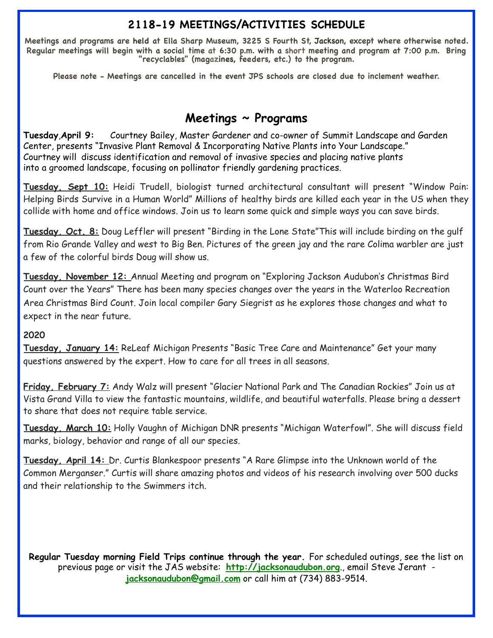#### **2118-19 MEETINGS/ACTIVITIES SCHEDULE**

**Meetings and programs are held at Ella Sharp Museum, 3225 S Fourth St, Jackson, except where otherwise noted. Regular meetings will begin with a social time at 6:30 p.m. with a short meeting and program at 7:00 p.m. Bring "recyclables" (magazines, feeders, etc.) to the program.** 

**Please note - Meetings are cancelled in the event JPS schools are closed due to inclement weather.**

### **Meetings ~ Programs**

**Tuesday**,**April 9:** Courtney Bailey, Master Gardener and co-owner of Summit Landscape and Garden Center, presents "Invasive Plant Removal & Incorporating Native Plants into Your Landscape." Courtney will discuss identification and removal of invasive species and placing native plants into a groomed landscape, focusing on pollinator friendly gardening practices.

**Tuesday, Sept 10:** Heidi Trudell, biologist turned architectural consultant will present "Window Pain: Helping Birds Survive in a Human World" Millions of healthy birds are killed each year in the US when they collide with home and office windows. Join us to learn some quick and simple ways you can save birds.

**Tuesday, Oct. 8:** Doug Leffler will present "Birding in the Lone State"This will include birding on the gulf from Rio Grande Valley and west to Big Ben. Pictures of the green jay and the rare Colima warbler are just a few of the colorful birds Doug will show us.

**Tuesday, November 12:** Annual Meeting and program on "Exploring Jackson Audubon's Christmas Bird Count over the Years" There has been many species changes over the years in the Waterloo Recreation Area Christmas Bird Count. Join local compiler Gary Siegrist as he explores those changes and what to expect in the near future.

#### **2020**

**Tuesday, January 14:** ReLeaf Michigan Presents "Basic Tree Care and Maintenance" Get your many questions answered by the expert. How to care for all trees in all seasons.

**Friday, February 7:** Andy Walz will present "Glacier National Park and The Canadian Rockies" Join us at Vista Grand Villa to view the fantastic mountains, wildlife, and beautiful waterfalls. Please bring a dessert to share that does not require table service.

**Tuesday, March 10:** Holly Vaughn of Michigan DNR presents "Michigan Waterfowl". She will discuss field marks, biology, behavior and range of all our species.

**Tuesday, April 14:** Dr. Curtis Blankespoor presents "A Rare Glimpse into the Unknown world of the Common Merganser." Curtis will share amazing photos and videos of his research involving over 500 ducks and their relationship to the Swimmers itch.

**Regular Tuesday morning Field Trips continue through the year.** For scheduled outings, see the list on previous page or visit the JAS website: **<http://jacksonaudubon.org>**., email Steve Jerant **[jacksonaudubon@gmail.com](mailto:jacksonaudubon@gmail.com)** or call him at (734) 883-9514.